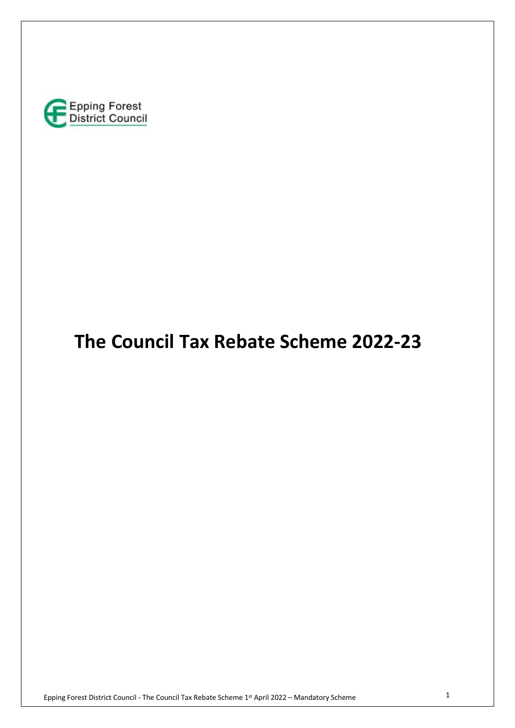

# **The Council Tax Rebate Scheme 2022-23**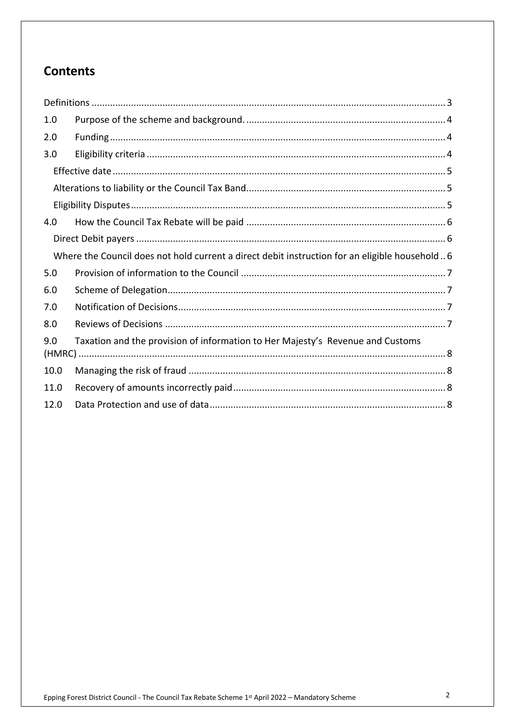## **Contents**

| 1.0  |                                                                                               |  |
|------|-----------------------------------------------------------------------------------------------|--|
| 2.0  |                                                                                               |  |
| 3.0  |                                                                                               |  |
|      |                                                                                               |  |
|      |                                                                                               |  |
|      |                                                                                               |  |
| 4.0  |                                                                                               |  |
|      |                                                                                               |  |
|      | Where the Council does not hold current a direct debit instruction for an eligible household6 |  |
| 5.0  |                                                                                               |  |
| 6.0  |                                                                                               |  |
| 7.0  |                                                                                               |  |
| 8.0  |                                                                                               |  |
| 9.0  | Taxation and the provision of information to Her Majesty's Revenue and Customs                |  |
| 10.0 |                                                                                               |  |
| 11.0 |                                                                                               |  |
| 12.0 |                                                                                               |  |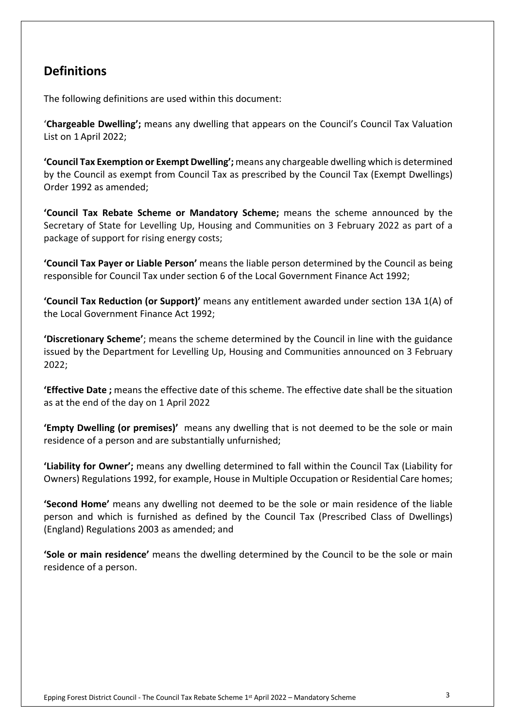### **Definitions**

The following definitions are used within this document:

 '**Chargeable Dwelling';** means any dwelling that appears on the Council's Council Tax Valuation List on 1 April 2022;

 **'Council Tax Exemption or Exempt Dwelling';** means any chargeable dwelling which is determined by the Council as exempt from Council Tax as prescribed by the Council Tax (Exempt Dwellings) Order 1992 as amended;

 **'Council Tax Rebate Scheme or Mandatory Scheme;** means the scheme announced by the Secretary of State for Levelling Up, Housing and Communities on 3 February 2022 as part of a package of support for rising energy costs;

 **'Council Tax Payer or Liable Person'** means the liable person determined by the Council as being responsible for Council Tax under section 6 of the Local Government Finance Act 1992;

 **'Council Tax Reduction (or Support)'** means any entitlement awarded under section 13A 1(A) of the Local Government Finance Act 1992;

 **'Discretionary Scheme'**; means the scheme determined by the Council in line with the guidance issued by the Department for Levelling Up, Housing and Communities announced on 3 February 2022;

 **'Effective Date ;** means the effective date of this scheme. The effective date shall be the situation as at the end of the day on 1 April 2022

 **'Empty Dwelling (or premises)'** means any dwelling that is not deemed to be the sole or main residence of a person and are substantially unfurnished;

 **'Liability for Owner';** means any dwelling determined to fall within the Council Tax (Liability for Owners) Regulations 1992, for example, House in Multiple Occupation or Residential Care homes;

 **'Second Home'** means any dwelling not deemed to be the sole or main residence of the liable person and which is furnished as defined by the Council Tax (Prescribed Class of Dwellings) (England) Regulations 2003 as amended; and

 **'Sole or main residence'** means the dwelling determined by the Council to be the sole or main residence of a person.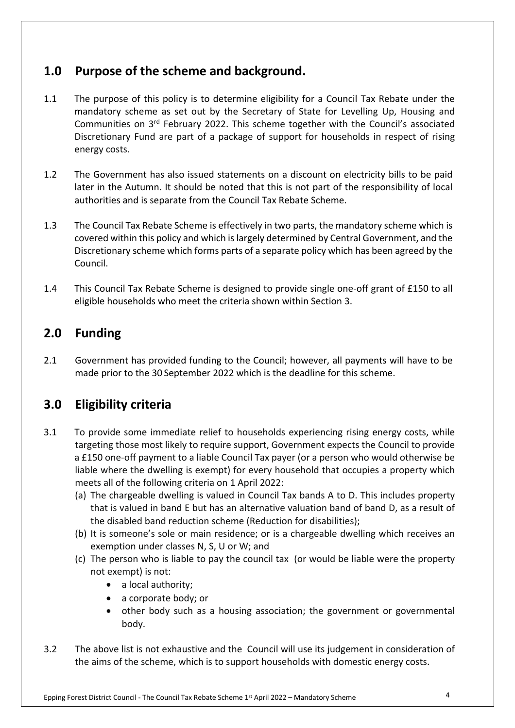### **1.0 Purpose of the scheme and background.**

- $1.1$  mandatory scheme as set out by the Secretary of State for Levelling Up, Housing and Communities on 3<sup>rd</sup> February 2022. This scheme together with the Council's associated Discretionary Fund are part of a package of support for households in respect of rising The purpose of this policy is to determine eligibility for a Council Tax Rebate under the energy costs.
- $1.2$  later in the Autumn. It should be noted that this is not part of the responsibility of local authorities and is separate from the Council Tax Rebate Scheme. The Government has also issued statements on a discount on electricity bills to be paid
- $1.3$  covered within this policy and which is largely determined by Central Government, and the Discretionary scheme which forms parts of a separate policy which has been agreed by the The Council Tax Rebate Scheme is effectively in two parts, the mandatory scheme which is Council.
- $1.4$  eligible households who meet the criteria shown within Section 3. This Council Tax Rebate Scheme is designed to provide single one-off grant of £150 to all

#### $2.0$ **2.0 Funding**

 2.1 Government has provided funding to the Council; however, all payments will have to be made prior to the 30 September 2022 which is the deadline for this scheme.

### **3.0 Eligibility criteria**

- 3.1 To provide some immediate relief to households experiencing rising energy costs, while targeting those most likely to require support, Government expects the Council to provide a £150 one-off payment to a liable Council Tax payer (or a person who would otherwise be liable where the dwelling is exempt) for every household that occupies a property which meets all of the following criteria on 1 April 2022:
	- (a) The chargeable dwelling is valued in Council Tax bands A to D. This includes property that is valued in band E but has an alternative valuation band of band D, as a result of the disabled band reduction scheme (Reduction for disabilities);
	- (b) It is someone's sole or main residence; or is a chargeable dwelling which receives an exemption under classes N, S, U or W; and
	- (c) The person who is liable to pay the council tax (or would be liable were the property not exempt) is not:
		- a local authority;
		- a corporate body; or
		- • other body such as a housing association; the government or governmental body.
- $3.2$ The above list is not exhaustive and the Council will use its judgement in consideration of the aims of the scheme, which is to support households with domestic energy costs.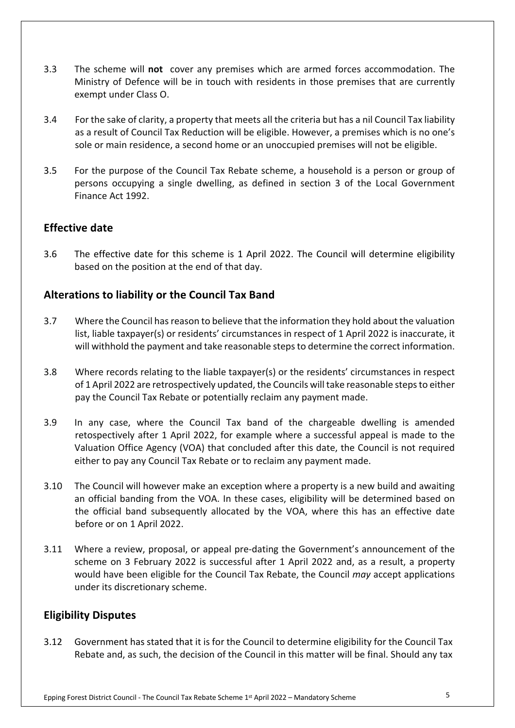- 3.3 The scheme will **not** cover any premises which are armed forces accommodation. The Ministry of Defence will be in touch with residents in those premises that are currently exempt under Class O.
- $3.4$ 3.4 For the sake of clarity, a property that meets all the criteria but has a nil Council Tax liability as a result of Council Tax Reduction will be eligible. However, a premises which is no one's sole or main residence, a second home or an unoccupied premises will not be eligible.
- 3.5 For the purpose of the Council Tax Rebate scheme, a household is a person or group of persons occupying a single dwelling, as defined in section 3 of the Local Government Finance Act 1992.

#### **Effective date**

 $3.6$  based on the position at the end of that day. The effective date for this scheme is 1 April 2022. The Council will determine eligibility

#### **Alterations to liability or the Council Tax Band**

- 3.7 Where the Council has reason to believe that the information they hold about the valuation will withhold the payment and take reasonable steps to determine the correct information. list, liable taxpayer(s) or residents' circumstances in respect of 1 April 2022 is inaccurate, it
- $3.8$ 3.8 Where records relating to the liable taxpayer(s) or the residents' circumstances in respect of 1 April 2022 are retrospectively updated, the Councils will take reasonable steps to either pay the Council Tax Rebate or potentially reclaim any payment made.
- $3.9$  retospectively after 1 April 2022, for example where a successful appeal is made to the Valuation Office Agency (VOA) that concluded after this date, the Council is not required either to pay any Council Tax Rebate or to reclaim any payment made. In any case, where the Council Tax band of the chargeable dwelling is amended
- 3.10 The Council will however make an exception where a property is a new build and awaiting an official banding from the VOA. In these cases, eligibility will be determined based on the official band subsequently allocated by the VOA, where this has an effective date before or on 1 April 2022.
- $3.11$  scheme on 3 February 2022 is successful after 1 April 2022 and, as a result, a property would have been eligible for the Council Tax Rebate, the Council *may* accept applications under its discretionary scheme. Where a review, proposal, or appeal pre-dating the Government's announcement of the

#### **Eligibility Disputes**

 3.12 Government has stated that it is for the Council to determine eligibility for the Council Tax Rebate and, as such, the decision of the Council in this matter will be final. Should any tax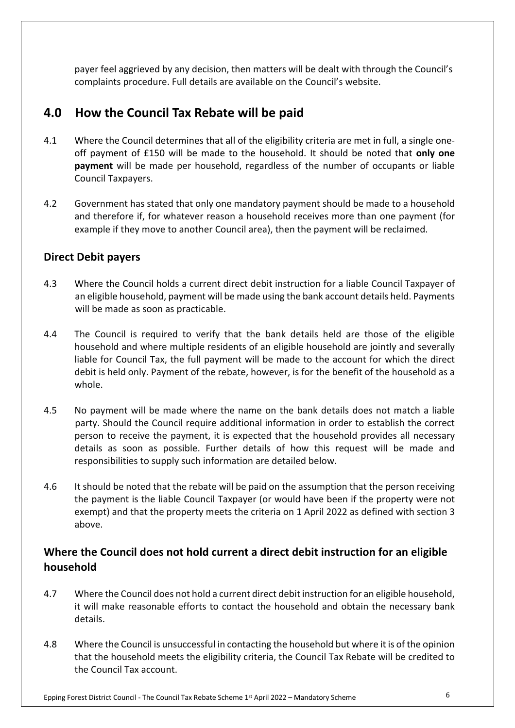payer feel aggrieved by any decision, then matters will be dealt with through the Council's complaints procedure. Full details are available on the Council's website.

### **4.0 How the Council Tax Rebate will be paid**

- $4.1$  off payment of £150 will be made to the household. It should be noted that **only one payment** will be made per household, regardless of the number of occupants or liable Where the Council determines that all of the eligibility criteria are met in full, a single one-Council Taxpayers.
- 4.2 Government has stated that only one mandatory payment should be made to a household and therefore if, for whatever reason a household receives more than one payment (for example if they move to another Council area), then the payment will be reclaimed.

#### **Direct Debit payers**

- $4.3$  an eligible household, payment will be made using the bank account details held. Payments will be made as soon as practicable. 4.3 Where the Council holds a current direct debit instruction for a liable Council Taxpayer of
- $4.4$  household and where multiple residents of an eligible household are jointly and severally liable for Council Tax, the full payment will be made to the account for which the direct debit is held only. Payment of the rebate, however, is for the benefit of the household as a The Council is required to verify that the bank details held are those of the eligible whole.
- $4.5$  party. Should the Council require additional information in order to establish the correct person to receive the payment, it is expected that the household provides all necessary details as soon as possible. Further details of how this request will be made and responsibilities to supply such information are detailed below. No payment will be made where the name on the bank details does not match a liable
- $4.6$  the payment is the liable Council Taxpayer (or would have been if the property were not exempt) and that the property meets the criteria on 1 April 2022 as defined with section 3 It should be noted that the rebate will be paid on the assumption that the person receiving above.

### **Where the Council does not hold current a direct debit instruction for an eligible household**

- 4.7 Where the Council does not hold a current direct debit instruction for an eligible household, it will make reasonable efforts to contact the household and obtain the necessary bank details.
- 4.8 that the household meets the eligibility criteria, the Council Tax Rebate will be credited to the Council Tax account. Where the Council is unsuccessful in contacting the household but where it is of the opinion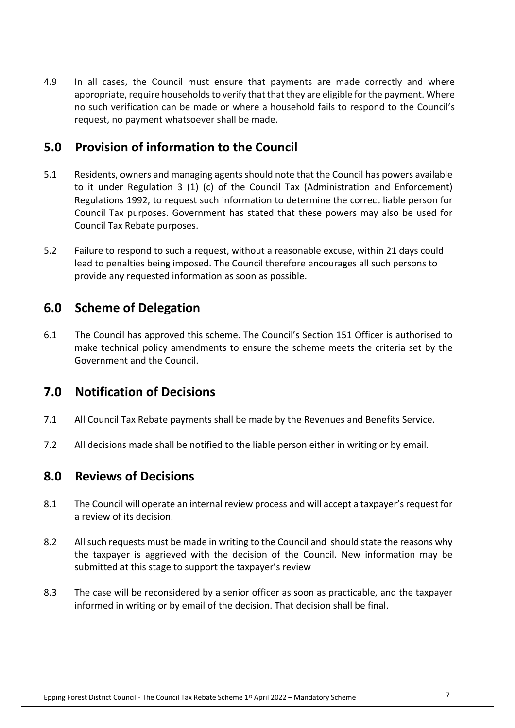4.9 appropriate, require households to verify that that they are eligible for the payment. Where no such verification can be made or where a household fails to respond to the Council's request, no payment whatsoever shall be made. In all cases, the Council must ensure that payments are made correctly and where

### **5.0 Provision of information to the Council**

- 5.1 Residents, owners and managing agents should note that the Council has powers available to it under Regulation 3 (1) (c) of the Council Tax (Administration and Enforcement) Regulations 1992, to request such information to determine the correct liable person for Council Tax purposes. Government has stated that these powers may also be used for Council Tax Rebate purposes.
- $5.2$  lead to penalties being imposed. The Council therefore encourages all such persons to provide any requested information as soon as possible. Failure to respond to such a request, without a reasonable excuse, within 21 days could

### **6.0 Scheme of Delegation**

 $6.1$  make technical policy amendments to ensure the scheme meets the criteria set by the Government and the Council. The Council has approved this scheme. The Council's Section 151 Officer is authorised to

### **7.0 Notification of Decisions**

- 7.1 All Council Tax Rebate payments shall be made by the Revenues and Benefits Service.
- $72$ All decisions made shall be notified to the liable person either in writing or by email.

### **8.0 Reviews of Decisions**

- 8.1 a review of its decision. The Council will operate an internal review process and will accept a taxpayer's request for
- 8.2 All such requests must be made in writing to the Council and should state the reasons why the taxpayer is aggrieved with the decision of the Council. New information may be submitted at this stage to support the taxpayer's review
- 8.3 The case will be reconsidered by a senior officer as soon as practicable, and the taxpayer informed in writing or by email of the decision. That decision shall be final.